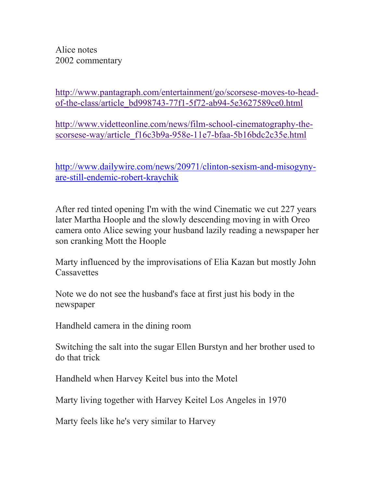Alice notes 2002 commentary

[http://www.pantagraph.com/entertainment/go/scorsese-moves-to-head](http://www.pantagraph.com/entertainment/go/scorsese-moves-to-head-of-the-class/article_bd998743-77f1-5f72-ab94-5e3627589ce0.html)[of-the-class/article\\_bd998743-77f1-5f72-ab94-5e3627589ce0.html](http://www.pantagraph.com/entertainment/go/scorsese-moves-to-head-of-the-class/article_bd998743-77f1-5f72-ab94-5e3627589ce0.html)

[http://www.videtteonline.com/news/film-school-cinematography-the](http://www.videtteonline.com/news/film-school-cinematography-the-scorsese-way/article_f16c3b9a-958e-11e7-bfaa-5b16bdc2c35e.html)[scorsese-way/article\\_f16c3b9a-958e-11e7-bfaa-5b16bdc2c35e.html](http://www.videtteonline.com/news/film-school-cinematography-the-scorsese-way/article_f16c3b9a-958e-11e7-bfaa-5b16bdc2c35e.html)

[http://www.dailywire.com/news/20971/clinton-sexism-and-misogyny](http://www.dailywire.com/news/20971/clinton-sexism-and-misogyny-are-still-endemic-robert-kraychik)[are-still-endemic-robert-kraychik](http://www.dailywire.com/news/20971/clinton-sexism-and-misogyny-are-still-endemic-robert-kraychik)

After red tinted opening I'm with the wind Cinematic we cut 227 years later Martha Hoople and the slowly descending moving in with Oreo camera onto Alice sewing your husband lazily reading a newspaper her son cranking Mott the Hoople

Marty influenced by the improvisations of Elia Kazan but mostly John **Cassavettes** 

Note we do not see the husband's face at first just his body in the newspaper

Handheld camera in the dining room

Switching the salt into the sugar Ellen Burstyn and her brother used to do that trick

Handheld when Harvey Keitel bus into the Motel

Marty living together with Harvey Keitel Los Angeles in 1970

Marty feels like he's very similar to Harvey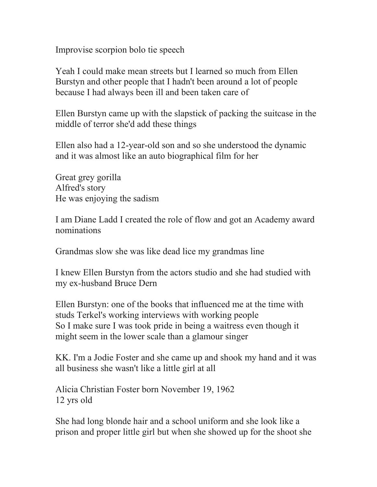Improvise scorpion bolo tie speech

Yeah I could make mean streets but I learned so much from Ellen Burstyn and other people that I hadn't been around a lot of people because I had always been ill and been taken care of

Ellen Burstyn came up with the slapstick of packing the suitcase in the middle of terror she'd add these things

Ellen also had a 12-year-old son and so she understood the dynamic and it was almost like an auto biographical film for her

Great grey gorilla Alfred's story He was enjoying the sadism

I am Diane Ladd I created the role of flow and got an Academy award nominations

Grandmas slow she was like dead lice my grandmas line

I knew Ellen Burstyn from the actors studio and she had studied with my ex-husband Bruce Dern

Ellen Burstyn: one of the books that influenced me at the time with studs Terkel's working interviews with working people So I make sure I was took pride in being a waitress even though it might seem in the lower scale than a glamour singer

KK. I'm a Jodie Foster and she came up and shook my hand and it was all business she wasn't like a little girl at all

Alicia Christian Foster born November 19, 1962 12 yrs old

She had long blonde hair and a school uniform and she look like a prison and proper little girl but when she showed up for the shoot she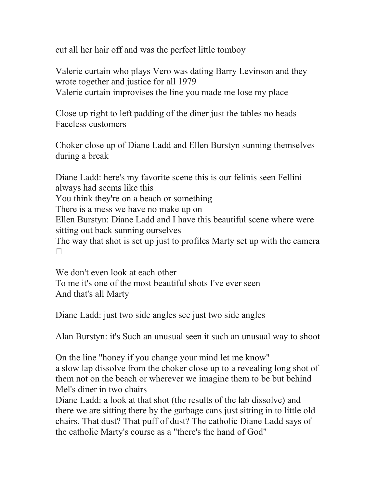cut all her hair off and was the perfect little tomboy

Valerie curtain who plays Vero was dating Barry Levinson and they wrote together and justice for all 1979 Valerie curtain improvises the line you made me lose my place

Close up right to left padding of the diner just the tables no heads Faceless customers

Choker close up of Diane Ladd and Ellen Burstyn sunning themselves during a break

Diane Ladd: here's my favorite scene this is our felinis seen Fellini always had seems like this You think they're on a beach or something There is a mess we have no make up on Ellen Burstyn: Diane Ladd and I have this beautiful scene where were sitting out back sunning ourselves The way that shot is set up just to profiles Marty set up with the camera  $\Box$ 

We don't even look at each other To me it's one of the most beautiful shots I've ever seen And that's all Marty

Diane Ladd: just two side angles see just two side angles

Alan Burstyn: it's Such an unusual seen it such an unusual way to shoot

On the line "honey if you change your mind let me know" a slow lap dissolve from the choker close up to a revealing long shot of them not on the beach or wherever we imagine them to be but behind Mel's diner in two chairs

Diane Ladd: a look at that shot (the results of the lab dissolve) and there we are sitting there by the garbage cans just sitting in to little old chairs. That dust? That puff of dust? The catholic Diane Ladd says of the catholic Marty's course as a "there's the hand of God"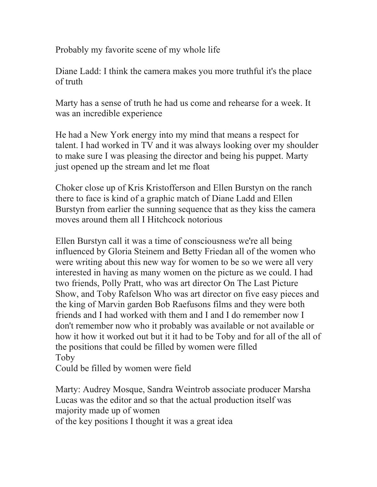Probably my favorite scene of my whole life

Diane Ladd: I think the camera makes you more truthful it's the place of truth

Marty has a sense of truth he had us come and rehearse for a week. It was an incredible experience

He had a New York energy into my mind that means a respect for talent. I had worked in TV and it was always looking over my shoulder to make sure I was pleasing the director and being his puppet. Marty just opened up the stream and let me float

Choker close up of Kris Kristofferson and Ellen Burstyn on the ranch there to face is kind of a graphic match of Diane Ladd and Ellen Burstyn from earlier the sunning sequence that as they kiss the camera moves around them all I Hitchcock notorious

Ellen Burstyn call it was a time of consciousness we're all being influenced by Gloria Steinem and Betty Friedan all of the women who were writing about this new way for women to be so we were all very interested in having as many women on the picture as we could. I had two friends, Polly Pratt, who was art director On The Last Picture Show, and Toby Rafelson Who was art director on five easy pieces and the king of Marvin garden Bob Raefusons films and they were both friends and I had worked with them and I and I do remember now I don't remember now who it probably was available or not available or how it how it worked out but it it had to be Toby and for all of the all of the positions that could be filled by women were filled Toby

Could be filled by women were field

Marty: Audrey Mosque, Sandra Weintrob associate producer Marsha Lucas was the editor and so that the actual production itself was majority made up of women of the key positions I thought it was a great idea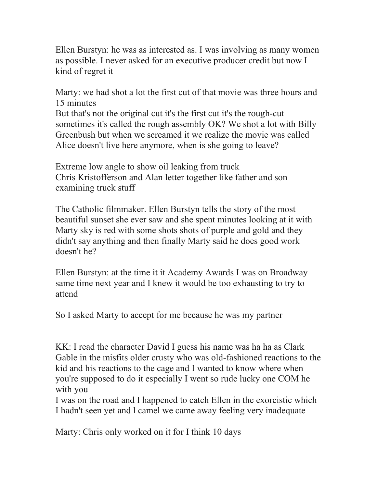Ellen Burstyn: he was as interested as. I was involving as many women as possible. I never asked for an executive producer credit but now I kind of regret it

Marty: we had shot a lot the first cut of that movie was three hours and 15 minutes

But that's not the original cut it's the first cut it's the rough-cut sometimes it's called the rough assembly OK? We shot a lot with Billy Greenbush but when we screamed it we realize the movie was called Alice doesn't live here anymore, when is she going to leave?

Extreme low angle to show oil leaking from truck Chris Kristofferson and Alan letter together like father and son examining truck stuff

The Catholic filmmaker. Ellen Burstyn tells the story of the most beautiful sunset she ever saw and she spent minutes looking at it with Marty sky is red with some shots shots of purple and gold and they didn't say anything and then finally Marty said he does good work doesn't he?

Ellen Burstyn: at the time it it Academy Awards I was on Broadway same time next year and I knew it would be too exhausting to try to attend

So I asked Marty to accept for me because he was my partner

KK: I read the character David I guess his name was ha ha as Clark Gable in the misfits older crusty who was old-fashioned reactions to the kid and his reactions to the cage and I wanted to know where when you're supposed to do it especially I went so rude lucky one COM he with you

I was on the road and I happened to catch Ellen in the exorcistic which I hadn't seen yet and l camel we came away feeling very inadequate

Marty: Chris only worked on it for I think 10 days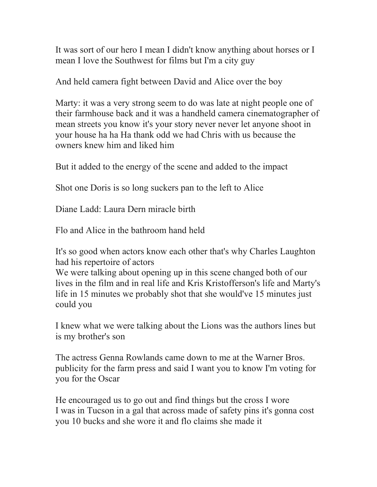It was sort of our hero I mean I didn't know anything about horses or I mean I love the Southwest for films but I'm a city guy

And held camera fight between David and Alice over the boy

Marty: it was a very strong seem to do was late at night people one of their farmhouse back and it was a handheld camera cinematographer of mean streets you know it's your story never never let anyone shoot in your house ha ha Ha thank odd we had Chris with us because the owners knew him and liked him

But it added to the energy of the scene and added to the impact

Shot one Doris is so long suckers pan to the left to Alice

Diane Ladd: Laura Dern miracle birth

Flo and Alice in the bathroom hand held

It's so good when actors know each other that's why Charles Laughton had his repertoire of actors

We were talking about opening up in this scene changed both of our lives in the film and in real life and Kris Kristofferson's life and Marty's life in 15 minutes we probably shot that she would've 15 minutes just could you

I knew what we were talking about the Lions was the authors lines but is my brother's son

The actress Genna Rowlands came down to me at the Warner Bros. publicity for the farm press and said I want you to know I'm voting for you for the Oscar

He encouraged us to go out and find things but the cross I wore I was in Tucson in a gal that across made of safety pins it's gonna cost you 10 bucks and she wore it and flo claims she made it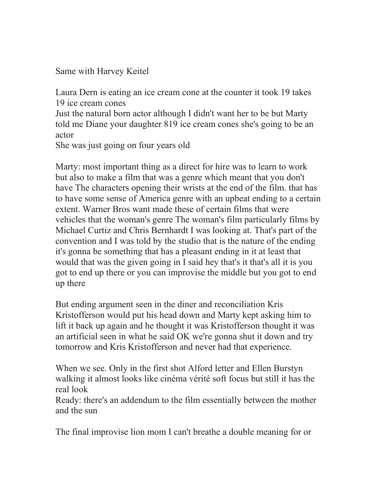Same with Harvey Keitel

Laura Dern is eating an ice cream cone at the counter it took 19 takes 19 ice cream cones

Just the natural born actor although I didn't want her to be but Marty told me Diane your daughter 819 ice cream cones she's going to be an actor

She was just going on four years old

Marty: most important thing as a direct for hire was to learn to work but also to make a film that was a genre which meant that you don't have The characters opening their wrists at the end of the film. that has to have some sense of America genre with an upbeat ending to a certain extent. Warner Bros want made these of certain films that were vehicles that the woman's genre The woman's film particularly films by Michael Curtiz and Chris Bernhardt I was looking at. That's part of the convention and I was told by the studio that is the nature of the ending it's gonna be something that has a pleasant ending in it at least that would that was the given going in I said hey that's it that's all it is you got to end up there or you can improvise the middle but you got to end up there

But ending argument seen in the diner and reconciliation Kris Kristofferson would put his head down and Marty kept asking him to lift it back up again and he thought it was Kristofferson thought it was an artificial seen in what he said OK we're gonna shut it down and try tomorrow and Kris Kristofferson and never had that experience.

When we see. Only in the first shot Alford letter and Ellen Burstyn walking it almost looks like cinéma vérité soft focus but still it has the real look

Ready: there's an addendum to the film essentially between the mother and the sun

The final improvise lion mom I can't breathe a double meaning for or